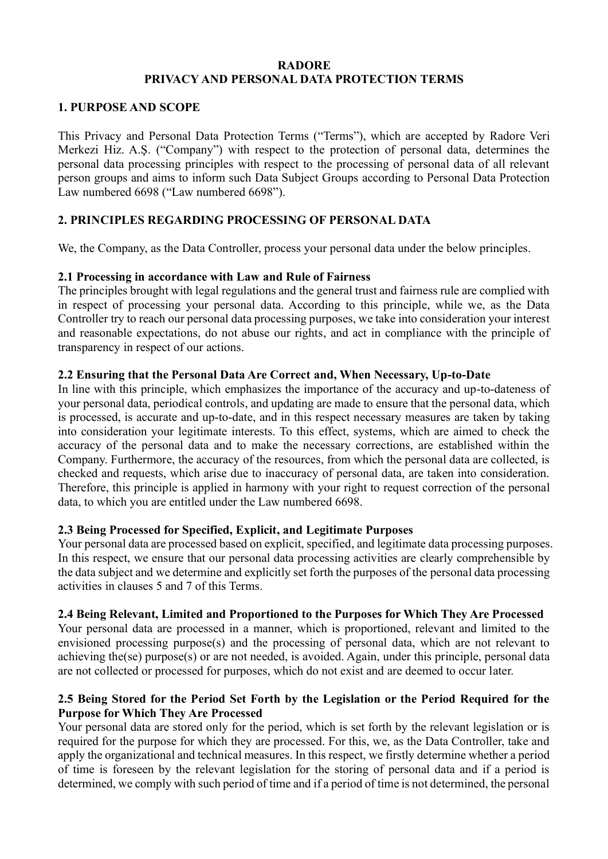#### **RADORE PRIVACY AND PERSONAL DATA PROTECTION TERMS**

#### **1. PURPOSE AND SCOPE**

This Privacy and Personal Data Protection Terms ("Terms"), which are accepted by Radore Veri Merkezi Hiz. A.Ş. ("Company") with respect to the protection of personal data, determines the personal data processing principles with respect to the processing of personal data of all relevant person groups and aims to inform such Data Subject Groups according to Personal Data Protection Law numbered 6698 ("Law numbered 6698").

#### **2. PRINCIPLES REGARDING PROCESSING OF PERSONAL DATA**

We, the Company, as the Data Controller, process your personal data under the below principles.

#### **2.1 Processing in accordance with Law and Rule of Fairness**

The principles brought with legal regulations and the general trust and fairness rule are complied with in respect of processing your personal data. According to this principle, while we, as the Data Controller try to reach our personal data processing purposes, we take into consideration your interest and reasonable expectations, do not abuse our rights, and act in compliance with the principle of transparency in respect of our actions.

### **2.2 Ensuring that the Personal Data Are Correct and, When Necessary, Up-to-Date**

In line with this principle, which emphasizes the importance of the accuracy and up-to-dateness of your personal data, periodical controls, and updating are made to ensure that the personal data, which is processed, is accurate and up-to-date, and in this respect necessary measures are taken by taking into consideration your legitimate interests. To this effect, systems, which are aimed to check the accuracy of the personal data and to make the necessary corrections, are established within the Company. Furthermore, the accuracy of the resources, from which the personal data are collected, is checked and requests, which arise due to inaccuracy of personal data, are taken into consideration. Therefore, this principle is applied in harmony with your right to request correction of the personal data, to which you are entitled under the Law numbered 6698.

#### **2.3 Being Processed for Specified, Explicit, and Legitimate Purposes**

Your personal data are processed based on explicit, specified, and legitimate data processing purposes. In this respect, we ensure that our personal data processing activities are clearly comprehensible by the data subject and we determine and explicitly set forth the purposes of the personal data processing activities in clauses 5 and 7 of this Terms.

#### **2.4 Being Relevant, Limited and Proportioned to the Purposes for Which They Are Processed**

Your personal data are processed in a manner, which is proportioned, relevant and limited to the envisioned processing purpose(s) and the processing of personal data, which are not relevant to achieving the(se) purpose(s) or are not needed, is avoided. Again, under this principle, personal data are not collected or processed for purposes, which do not exist and are deemed to occur later.

### **2.5 Being Stored for the Period Set Forth by the Legislation or the Period Required for the Purpose for Which They Are Processed**

Your personal data are stored only for the period, which is set forth by the relevant legislation or is required for the purpose for which they are processed. For this, we, as the Data Controller, take and apply the organizational and technical measures. In this respect, we firstly determine whether a period of time is foreseen by the relevant legislation for the storing of personal data and if a period is determined, we comply with such period of time and if a period of time is not determined, the personal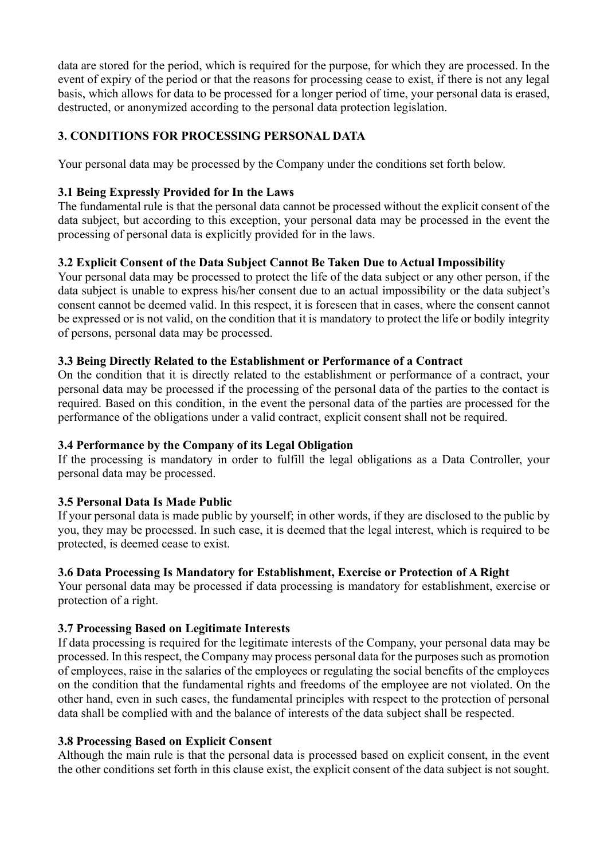data are stored for the period, which is required for the purpose, for which they are processed. In the event of expiry of the period or that the reasons for processing cease to exist, if there is not any legal basis, which allows for data to be processed for a longer period of time, your personal data is erased, destructed, or anonymized according to the personal data protection legislation.

# **3. CONDITIONS FOR PROCESSING PERSONAL DATA**

Your personal data may be processed by the Company under the conditions set forth below.

# **3.1 Being Expressly Provided for In the Laws**

The fundamental rule is that the personal data cannot be processed without the explicit consent of the data subject, but according to this exception, your personal data may be processed in the event the processing of personal data is explicitly provided for in the laws.

# **3.2 Explicit Consent of the Data Subject Cannot Be Taken Due to Actual Impossibility**

Your personal data may be processed to protect the life of the data subject or any other person, if the data subject is unable to express his/her consent due to an actual impossibility or the data subject's consent cannot be deemed valid. In this respect, it is foreseen that in cases, where the consent cannot be expressed or is not valid, on the condition that it is mandatory to protect the life or bodily integrity of persons, personal data may be processed.

### **3.3 Being Directly Related to the Establishment or Performance of a Contract**

On the condition that it is directly related to the establishment or performance of a contract, your personal data may be processed if the processing of the personal data of the parties to the contact is required. Based on this condition, in the event the personal data of the parties are processed for the performance of the obligations under a valid contract, explicit consent shall not be required.

### **3.4 Performance by the Company of its Legal Obligation**

If the processing is mandatory in order to fulfill the legal obligations as a Data Controller, your personal data may be processed.

# **3.5 Personal Data Is Made Public**

If your personal data is made public by yourself; in other words, if they are disclosed to the public by you, they may be processed. In such case, it is deemed that the legal interest, which is required to be protected, is deemed cease to exist.

### **3.6 Data Processing Is Mandatory for Establishment, Exercise or Protection of A Right**

Your personal data may be processed if data processing is mandatory for establishment, exercise or protection of a right.

# **3.7 Processing Based on Legitimate Interests**

If data processing is required for the legitimate interests of the Company, your personal data may be processed. In this respect, the Company may process personal data for the purposes such as promotion of employees, raise in the salaries of the employees or regulating the social benefits of the employees on the condition that the fundamental rights and freedoms of the employee are not violated. On the other hand, even in such cases, the fundamental principles with respect to the protection of personal data shall be complied with and the balance of interests of the data subject shall be respected.

### **3.8 Processing Based on Explicit Consent**

Although the main rule is that the personal data is processed based on explicit consent, in the event the other conditions set forth in this clause exist, the explicit consent of the data subject is not sought.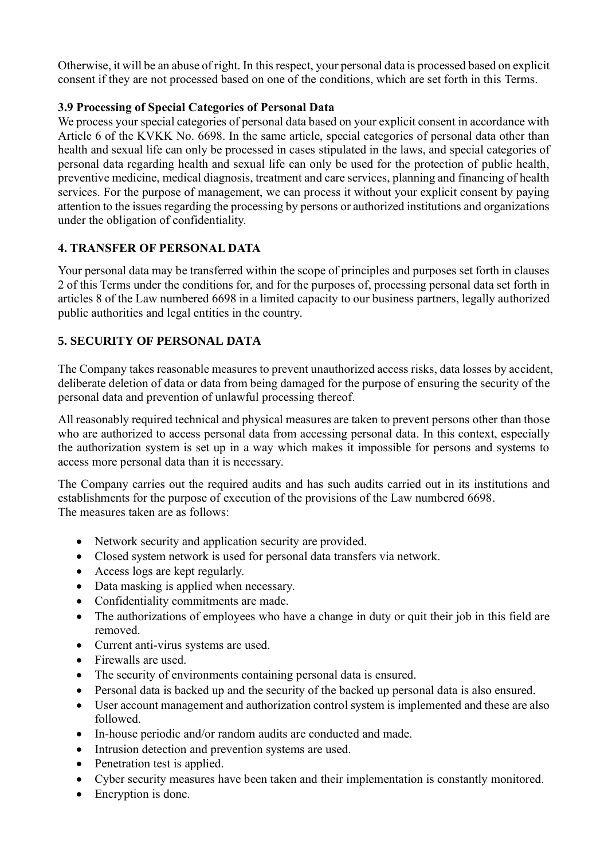Otherwise, it will be an abuse of right. In this respect, your personal data is processed based on explicit consent if they are not processed based on one of the conditions, which are set forth in this Terms.

## **3.9 Processing of Special Categories of Personal Data**

We process your special categories of personal data based on your explicit consent in accordance with Article 6 of the KVKK No. 6698. In the same article, special categories of personal data other than health and sexual life can only be processed in cases stipulated in the laws, and special categories of personal data regarding health and sexual life can only be used for the protection of public health, preventive medicine, medical diagnosis, treatment and care services, planning and financing of health services. For the purpose of management, we can process it without your explicit consent by paying attention to the issues regarding the processing by persons or authorized institutions and organizations under the obligation of confidentiality.

# **4. TRANSFER OF PERSONAL DATA**

Your personal data may be transferred within the scope of principles and purposes set forth in clauses 2 of this Terms under the conditions for, and for the purposes of, processing personal data set forth in articles 8 of the Law numbered 6698 in a limited capacity to our business partners, legally authorized public authorities and legal entities in the country.

# **5. SECURITY OF PERSONAL DATA**

The Company takes reasonable measures to prevent unauthorized access risks, data losses by accident, deliberate deletion of data or data from being damaged for the purpose of ensuring the security of the personal data and prevention of unlawful processing thereof.

All reasonably required technical and physical measures are taken to prevent persons other than those who are authorized to access personal data from accessing personal data. In this context, especially the authorization system is set up in a way which makes it impossible for persons and systems to access more personal data than it is necessary.

The Company carries out the required audits and has such audits carried out in its institutions and establishments for the purpose of execution of the provisions of the Law numbered 6698. The measures taken are as follows:

- Network security and application security are provided.
- Closed system network is used for personal data transfers via network.
- Access logs are kept regularly.
- Data masking is applied when necessary.
- Confidentiality commitments are made.
- The authorizations of employees who have a change in duty or quit their job in this field are removed.
- Current anti-virus systems are used.
- Firewalls are used.
- The security of environments containing personal data is ensured.
- Personal data is backed up and the security of the backed up personal data is also ensured.
- User account management and authorization control system is implemented and these are also followed.
- In-house periodic and/or random audits are conducted and made.
- Intrusion detection and prevention systems are used.
- Penetration test is applied.
- Cyber security measures have been taken and their implementation is constantly monitored.
- Encryption is done.